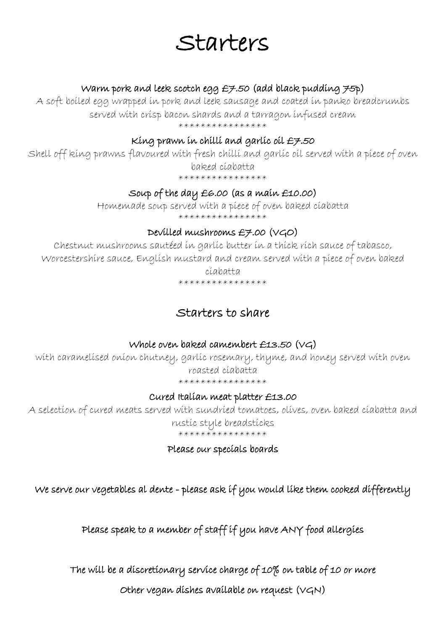# Starters

### Warm pork and leek scotch egg  $E7.50$  (add black pudding  $75p$ )

A soft boiled egg wrapped in pork and leek sausage and coated in panko breadcrumbs served with crisp bacon shards and a tarragon infused cream \*\*\*\*\*\*\*\*\*\*\*\*\*\*\*\*

## King prawn in chilli and garlic oil  $E7.50$

Shell off king prawns flavoured with fresh chilli and garlic oil served with a piece of oven baked ciabatta

\*\*\*\*\*\*\*\*\*\*\*\*\*\*\*

# Soup of the day £6.00 (as a main £10.00)

Homemade soup served with a piece of oven baked ciabatta \*\*\*\*\*\*\*\*\*\*\*\*\*\*\*\*

# Devilled mushrooms £7.00 (VGO)

Chestnut mushrooms sautéed in garlic butter in a thick rich sauce of tabasco, Worcestershire sauce, English mustard and cream served with a piece of oven baked ciabatta

\*\*\*\*\*\*\*\*\*\*\*\*\*\*\*\*

# Starters to share

# Whole oven baked camembert £13.50 (VG)

with caramelised onion chutney, garlic rosemary, thyme, and honey served with oven roasted ciabatta \*\*\*\*\*\*\*\*\*\*\*\*\*\*\*

### Cured Italian meat platter £13.00

A selection of cured meats served with sundried tomatoes, olives, oven baked ciabatta and rustic style breadsticks \*\*\*\*\*\*\*\*\*\*\*\*\*\*\*\*

Please our specials boards

We serve our vegetables al dente - please ask if you would like them cooked differently

Please speak to a member of staff if you have ANY food allergies

The will be a discretionary service charge of 10% on table of 10 or more

Other vegan dishes available on request (VGN)